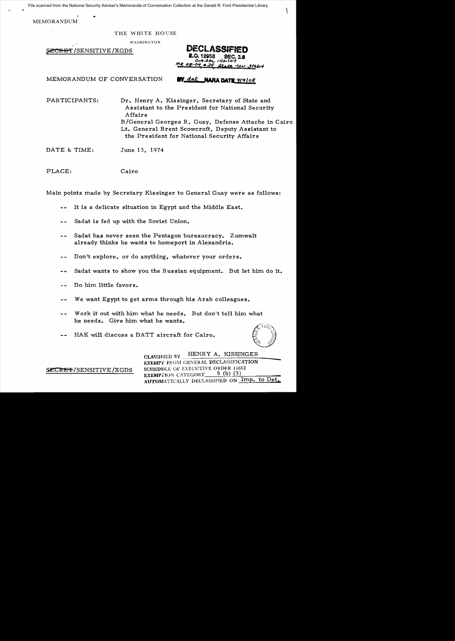File scanned from the National Security Adviser's Memoranda of Conversation Collection at the Gerald R. Ford Presidential Library

MEMORANDUM

THE WHITE HO USE

WASHINGTON

SECRET / SENSITIVE / XGDS

ж−п LU.31964

MEMORANDUM OF CONVERSATION **BY dal MARA DATE** 219108

PARTICIPANTS: Dr. Henry A. Kissinger, Secretary of State and Assistant to the President for National Security Affairs B/General Georges R. Guay, Defense Attache in Cairo Lt. General Brent Scowcroft, Deputy Assistant to

the President for National Security Affairs

DATE & TIME: June 13, 1974

PLACE: Cairo

Main points made by Secretary Kissinger to General Guay were as follows:

- It is a delicate situation in Egypt and the Middle East.
- Sadat is fed up with the Soviet Union.  $\sim$   $\sim$
- Sadat has never seen the Pentagon bureaucracy. Zumwalt  $=$   $$ already thinks he wants to homeport in Alexandria.
- Don't explore, or do anything, whatever your orders.  $- -$
- Sadat wants to show you the Russian equipment. But let him do it.  $\blacksquare$
- Do him little favors.  $\sim$   $\sim$
- We want Egypt to get arms through his Arab colleagues.
- Work it out with him what he needs. But don't tell him what he needs. Give him what he wants.
- HAK will discuss a DATT aircraft for Cairo.

 $\delta$  . I un  $\gg$ ( *<sup>z</sup>*>\  $\leq$  .  $\mathcal{D}$ .  $\mathcal{N}$ . '/2 Y

CLASSIFIED BY HENRY A. KISSINGER EXEMPT FROM GENERAL DECLASSIFICATION **SECRET/SENSITIVE/XGDS** SCHEDULE OF EXECUTIVE ORDER 11652 EXEMPTION CATEGORY\_ AUTOMATICALLY DECLASSIFIED ON Imp. to Det.